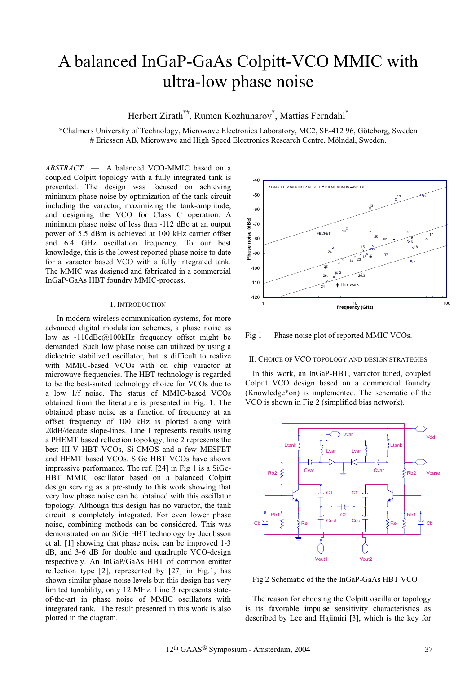# A balanced InGaP-GaAs Colpitt-VCO MMIC with ultra-low phase noise

Herbert Zirath\*<sup>#</sup>, Rumen Kozhuharov<sup>\*</sup>, Mattias Ferndahl<sup>\*</sup>

\*Chalmers University of Technology, Microwave Electronics Laboratory, MC2, SE-412 96, Göteborg, Sweden # Ericsson AB, Microwave and High Speed Electronics Research Centre, Mölndal, Sweden.

*ABSTRACT* — A balanced VCO-MMIC based on a coupled Colpitt topology with a fully integrated tank is presented. The design was focused on achieving minimum phase noise by optimization of the tank-circuit including the varactor, maximizing the tank-amplitude, and designing the VCO for Class C operation. A minimum phase noise of less than -112 dBc at an output power of 5.5 dBm is achieved at 100 kHz carrier offset and 6.4 GHz oscillation frequency. To our best knowledge, this is the lowest reported phase noise to date for a varactor based VCO with a fully integrated tank. The MMIC was designed and fabricated in a commercial InGaP-GaAs HBT foundry MMIC-process.

## I. INTRODUCTION

In modern wireless communication systems, for more advanced digital modulation schemes, a phase noise as low as -110dBc@100kHz frequency offset might be demanded. Such low phase noise can utilized by using a dielectric stabilized oscillator, but is difficult to realize with MMIC-based VCOs with on chip varactor at microwave frequencies. The HBT technology is regarded to be the best-suited technology choice for VCOs due to a low 1/f noise. The status of MMIC-based VCOs obtained from the literature is presented in Fig. 1. The obtained phase noise as a function of frequency at an offset frequency of 100 kHz is plotted along with 20dB/decade slope-lines. Line 1 represents results using a PHEMT based reflection topology, line 2 represents the best III-V HBT VCOs, Si-CMOS and a few MESFET and HEMT based VCOs. SiGe HBT VCOs have shown impressive performance. The ref. [24] in Fig 1 is a SiGe-HBT MMIC oscillator based on a balanced Colpitt design serving as a pre-study to this work showing that very low phase noise can be obtained with this oscillator topology. Although this design has no varactor, the tank circuit is completely integrated. For even lower phase noise, combining methods can be considered. This was demonstrated on an SiGe HBT technology by Jacobsson et al. [1] showing that phase noise can be improved 1-3 dB, and 3-6 dB for double and quadruple VCO-design respectively. An InGaP/GaAs HBT of common emitter reflection type [2], represented by [27] in Fig.1, has shown similar phase noise levels but this design has very limited tunability, only 12 MHz. Line 3 represents stateof-the-art in phase noise of MMIC oscillators with integrated tank. The result presented in this work is also plotted in the diagram.



Fig 1 Phase noise plot of reported MMIC VCOs.

#### II. CHOICE OF VCO TOPOLOGY AND DESIGN STRATEGIES

In this work, an InGaP-HBT, varactor tuned, coupled Colpitt VCO design based on a commercial foundry (Knowledge\*on) is implemented. The schematic of the VCO is shown in Fig 2 (simplified bias network).



Fig 2 Schematic of the the InGaP-GaAs HBT VCO

The reason for choosing the Colpitt oscillator topology is its favorable impulse sensitivity characteristics as described by Lee and Hajimiri [3], which is the key for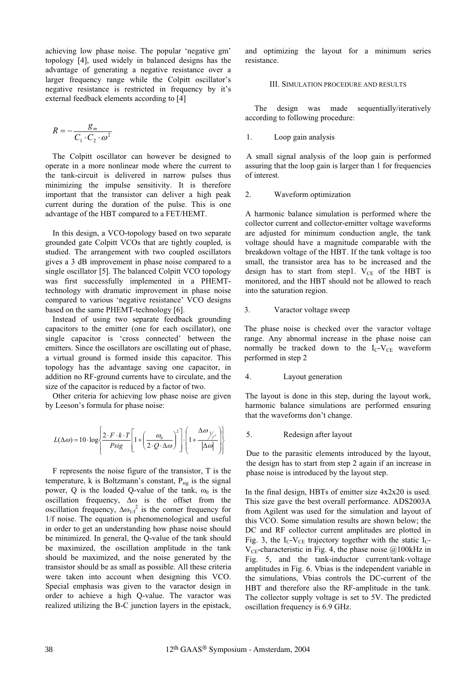achieving low phase noise. The popular 'negative gm' topology [4], used widely in balanced designs has the advantage of generating a negative resistance over a larger frequency range while the Colpitt oscillator's negative resistance is restricted in frequency by it's external feedback elements according to [4]

$$
R = -\frac{g_m}{C_1 \cdot C_2 \cdot \omega^2}
$$

The Colpitt oscillator can however be designed to operate in a more nonlinear mode where the current to the tank-circuit is delivered in narrow pulses thus minimizing the impulse sensitivity. It is therefore important that the transistor can deliver a high peak current during the duration of the pulse. This is one advantage of the HBT compared to a FET/HEMT.

In this design, a VCO-topology based on two separate grounded gate Colpitt VCOs that are tightly coupled, is studied. The arrangement with two coupled oscillators gives a 3 dB improvement in phase noise compared to a single oscillator [5]. The balanced Colpitt VCO topology was first successfully implemented in a PHEMTtechnology with dramatic improvement in phase noise compared to various 'negative resistance' VCO designs based on the same PHEMT-technology [6].

Instead of using two separate feedback grounding capacitors to the emitter (one for each oscillator), one single capacitor is 'cross connected' between the emitters. Since the oscillators are oscillating out of phase, a virtual ground is formed inside this capacitor. This topology has the advantage saving one capacitor, in addition no RF-ground currents have to circulate, and the size of the capacitor is reduced by a factor of two.

Other criteria for achieving low phase noise are given by Leeson's formula for phase noise:

$$
L(\Delta \omega) = 10 \cdot \log \left\{ \frac{2 \cdot F \cdot k \cdot T}{P sig} \left[ 1 + \left( \frac{\omega_0}{2 \cdot Q \cdot \Delta \omega} \right)^2 \right] \cdot \left( 1 + \frac{\Delta \omega_{\text{max}}}{|\Delta \omega|} \right) \right\}
$$

F represents the noise figure of the transistor, T is the temperature, k is Boltzmann's constant,  $P_{sig}$  is the signal power, Q is the loaded Q-value of the tank,  $\omega_0$  is the oscillation frequency,  $\Delta \omega$  is the offset from the oscillation frequency,  $\Delta \omega_{1/f}^{2}$  is the corner frequency for 1/f noise. The equation is phenomenological and useful in order to get an understanding how phase noise should be minimized. In general, the Q-value of the tank should be maximized, the oscillation amplitude in the tank should be maximized, and the noise generated by the transistor should be as small as possible. All these criteria were taken into account when designing this VCO. Special emphasis was given to the varactor design in order to achieve a high Q-value. The varactor was realized utilizing the B-C junction layers in the epistack,

and optimizing the layout for a minimum series resistance.

# III. SIMULATION PROCEDURE AND RESULTS

 The design was made sequentially/iteratively according to following procedure:

## 1. Loop gain analysis

A small signal analysis of the loop gain is performed assuring that the loop gain is larger than 1 for frequencies of interest.

## 2. Waveform optimization

A harmonic balance simulation is performed where the collector current and collector-emitter voltage waveforms are adjusted for minimum conduction angle, the tank voltage should have a magnitude comparable with the breakdown voltage of the HBT. If the tank voltage is too small, the transistor area has to be increased and the design has to start from step1.  $V_{CE}$  of the HBT is monitored, and the HBT should not be allowed to reach into the saturation region.

# 3. Varactor voltage sweep

The phase noise is checked over the varactor voltage range. Any abnormal increase in the phase noise can normally be tracked down to the  $I_{C}$ -V<sub>CE</sub> waveform performed in step 2

# 4. Layout generation

The layout is done in this step, during the layout work, harmonic balance simulations are performed ensuring that the waveforms don't change.

# 5. Redesign after layout

Due to the parasitic elements introduced by the layout, the design has to start from step 2 again if an increase in phase noise is introduced by the layout step.

In the final design, HBTs of emitter size 4x2x20 is used. This size gave the best overall performance. ADS2003A from Agilent was used for the simulation and layout of this VCO. Some simulation results are shown below; the DC and RF collector current amplitudes are plotted in Fig. 3, the  $I_C$ -V<sub>CE</sub> trajectory together with the static  $I_C$ - $V_{CF}$ -characteristic in Fig. 4, the phase noise @100kHz in Fig. 5, and the tank-inductor current/tank-voltage amplitudes in Fig. 6. Vbias is the independent variable in the simulations, Vbias controls the DC-current of the HBT and therefore also the RF-amplitude in the tank. The collector supply voltage is set to 5V. The predicted oscillation frequency is 6.9 GHz.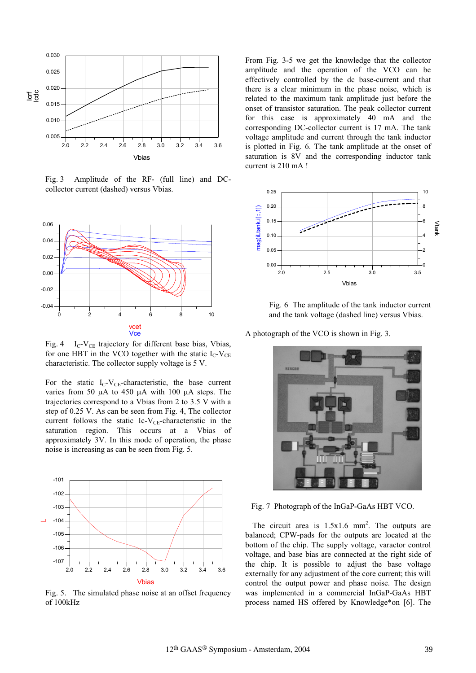

Fig. 3 Amplitude of the RF- (full line) and DCcollector current (dashed) versus Vbias.



Fig. 4  $I_c$ -V<sub>CE</sub> trajectory for different base bias, Vbias, for one HBT in the VCO together with the static  $I_C-V_{CE}$ characteristic. The collector supply voltage is 5 V.

For the static  $I_C-V_{CE}$ -characteristic, the base current varies from 50  $\mu$ A to 450  $\mu$ A with 100  $\mu$ A steps. The trajectories correspond to a Vbias from 2 to 3.5 V with a step of 0.25 V. As can be seen from Fig. 4, The collector current follows the static Ic-V<sub>CE</sub>-characteristic in the saturation region. This occurs at a Vbias of approximately 3V. In this mode of operation, the phase noise is increasing as can be seen from Fig. 5.



Fig. 5. The simulated phase noise at an offset frequency of 100kHz

From Fig. 3-5 we get the knowledge that the collector amplitude and the operation of the VCO can be effectively controlled by the dc base-current and that there is a clear minimum in the phase noise, which is related to the maximum tank amplitude just before the onset of transistor saturation. The peak collector current for this case is approximately 40 mA and the corresponding DC-collector current is 17 mA. The tank voltage amplitude and current through the tank inductor is plotted in Fig. 6. The tank amplitude at the onset of saturation is 8V and the corresponding inductor tank current is 210 mA !



Fig. 6 The amplitude of the tank inductor current and the tank voltage (dashed line) versus Vbias.

A photograph of the VCO is shown in Fig. 3.



Fig. 7 Photograph of the InGaP-GaAs HBT VCO.

The circuit area is  $1.5 \times 1.6$  mm<sup>2</sup>. The outputs are balanced; CPW-pads for the outputs are located at the bottom of the chip. The supply voltage, varactor control voltage, and base bias are connected at the right side of the chip. It is possible to adjust the base voltage externally for any adjustment of the core current; this will control the output power and phase noise. The design was implemented in a commercial InGaP-GaAs HBT process named HS offered by Knowledge\*on [6]. The